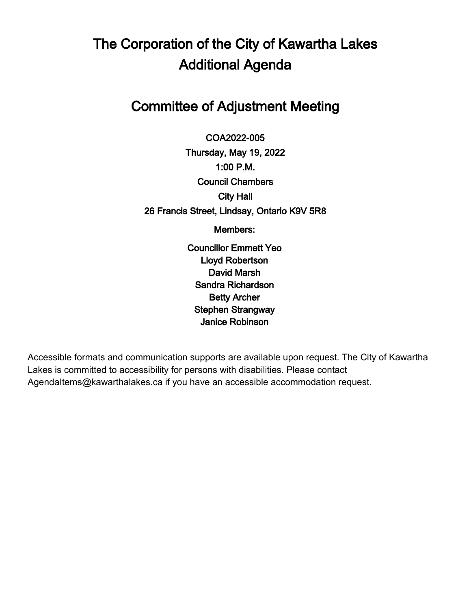# The Corporation of the City of Kawartha Lakes Additional Agenda

## Committee of Adjustment Meeting

 $\overline{a}$ COA2022-005 Thursday, May 19, 2022 1:00 P.M. Council Chambers City Hall 26 Francis Street, Lindsay, Ontario K9V 5R8

Members:

Councillor Emmett Yeo Lloyd Robertson David Marsh Sandra Richardson Betty Archer Stephen Strangway Janice Robinson

Accessible formats and communication supports are available upon request. The City of Kawartha Lakes is committed to accessibility for persons with disabilities. Please contact AgendaItems@kawarthalakes.ca if you have an accessible accommodation request.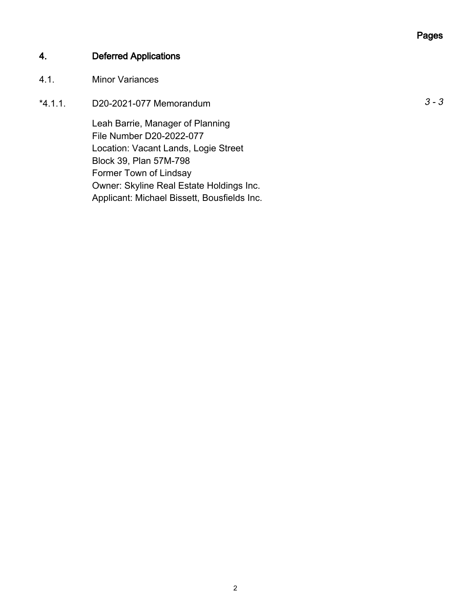## Pages

## 4. Deferred Applications

### 4.1. Minor Variances

\*4.1.1. D20-2021-077 Memorandum 3 - 3

Leah Barrie, Manager of Planning File Number D20-2022-077 Location: Vacant Lands, Logie Street Block 39, Plan 57M-798 Former Town of Lindsay Owner: Skyline Real Estate Holdings Inc. Applicant: Michael Bissett, Bousfields Inc.